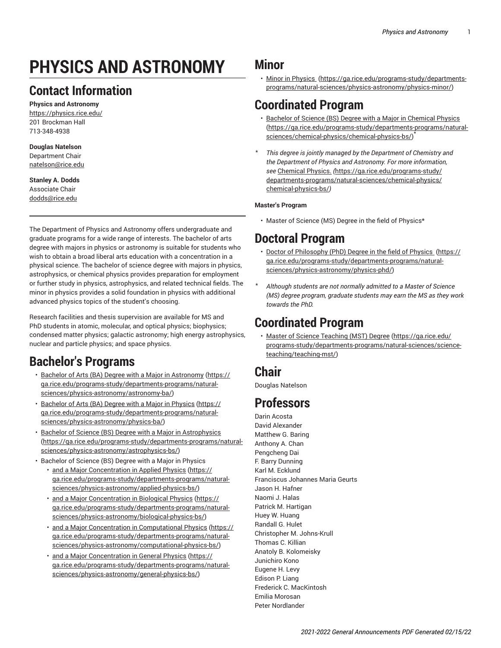# **PHYSICS AND ASTRONOMY**

## **Contact Information**

**Physics and Astronomy** <https://physics.rice.edu/> 201 Brockman Hall 713-348-4938

## **Douglas Natelson**

Department Chair [natelson@rice.edu](mailto:natelson@rice.edu)

**Stanley A. Dodds** Associate Chair [dodds@rice.edu](mailto:dodds@rice.edu)

The Department of Physics and Astronomy offers undergraduate and graduate programs for a wide range of interests. The bachelor of arts degree with majors in physics or astronomy is suitable for students who wish to obtain a broad liberal arts education with a concentration in a physical science. The bachelor of science degree with majors in physics, astrophysics, or chemical physics provides preparation for employment or further study in physics, astrophysics, and related technical fields. The minor in physics provides a solid foundation in physics with additional advanced physics topics of the student's choosing.

Research facilities and thesis supervision are available for MS and PhD students in atomic, molecular, and optical physics; biophysics; condensed matter physics; galactic astronomy; high energy astrophysics, nuclear and particle physics; and space physics.

## **Bachelor's Programs**

- Bachelor of Arts (BA) Degree with a Major in [Astronomy](https://ga.rice.edu/programs-study/departments-programs/natural-sciences/physics-astronomy/astronomy-ba/) ([https://](https://ga.rice.edu/programs-study/departments-programs/natural-sciences/physics-astronomy/astronomy-ba/) [ga.rice.edu/programs-study/departments-programs/natural](https://ga.rice.edu/programs-study/departments-programs/natural-sciences/physics-astronomy/astronomy-ba/)[sciences/physics-astronomy/astronomy-ba/](https://ga.rice.edu/programs-study/departments-programs/natural-sciences/physics-astronomy/astronomy-ba/))
- [Bachelor](https://ga.rice.edu/programs-study/departments-programs/natural-sciences/physics-astronomy/physics-ba/) of Arts (BA) Degree with a Major in Physics ([https://](https://ga.rice.edu/programs-study/departments-programs/natural-sciences/physics-astronomy/physics-ba/) [ga.rice.edu/programs-study/departments-programs/natural](https://ga.rice.edu/programs-study/departments-programs/natural-sciences/physics-astronomy/physics-ba/)[sciences/physics-astronomy/physics-ba/](https://ga.rice.edu/programs-study/departments-programs/natural-sciences/physics-astronomy/physics-ba/))
- Bachelor of Science (BS) Degree with a Major in [Astrophysics](https://ga.rice.edu/programs-study/departments-programs/natural-sciences/physics-astronomy/astrophysics-bs/) ([https://ga.rice.edu/programs-study/departments-programs/natural](https://ga.rice.edu/programs-study/departments-programs/natural-sciences/physics-astronomy/astrophysics-bs/)[sciences/physics-astronomy/astrophysics-bs/](https://ga.rice.edu/programs-study/departments-programs/natural-sciences/physics-astronomy/astrophysics-bs/))
- Bachelor of Science (BS) Degree with a Major in Physics • [and a Major Concentration in Applied Physics](https://ga.rice.edu/programs-study/departments-programs/natural-sciences/physics-astronomy/applied-physics-bs/) ([https://](https://ga.rice.edu/programs-study/departments-programs/natural-sciences/physics-astronomy/applied-physics-bs/) [ga.rice.edu/programs-study/departments-programs/natural](https://ga.rice.edu/programs-study/departments-programs/natural-sciences/physics-astronomy/applied-physics-bs/)[sciences/physics-astronomy/applied-physics-bs/](https://ga.rice.edu/programs-study/departments-programs/natural-sciences/physics-astronomy/applied-physics-bs/))
	- [and a Major Concentration in Biological Physics \(https://](https://ga.rice.edu/programs-study/departments-programs/natural-sciences/physics-astronomy/biological-physics-bs/) [ga.rice.edu/programs-study/departments-programs/natural](https://ga.rice.edu/programs-study/departments-programs/natural-sciences/physics-astronomy/biological-physics-bs/)[sciences/physics-astronomy/biological-physics-bs/\)](https://ga.rice.edu/programs-study/departments-programs/natural-sciences/physics-astronomy/biological-physics-bs/)
	- [and a Major Concentration in Computational Physics](https://ga.rice.edu/programs-study/departments-programs/natural-sciences/physics-astronomy/computational-physics-bs/) ([https://](https://ga.rice.edu/programs-study/departments-programs/natural-sciences/physics-astronomy/computational-physics-bs/) [ga.rice.edu/programs-study/departments-programs/natural](https://ga.rice.edu/programs-study/departments-programs/natural-sciences/physics-astronomy/computational-physics-bs/)[sciences/physics-astronomy/computational-physics-bs/](https://ga.rice.edu/programs-study/departments-programs/natural-sciences/physics-astronomy/computational-physics-bs/))
	- [and a Major Concentration in General Physics \(https://](https://ga.rice.edu/programs-study/departments-programs/natural-sciences/physics-astronomy/general-physics-bs/) [ga.rice.edu/programs-study/departments-programs/natural](https://ga.rice.edu/programs-study/departments-programs/natural-sciences/physics-astronomy/general-physics-bs/)[sciences/physics-astronomy/general-physics-bs/\)](https://ga.rice.edu/programs-study/departments-programs/natural-sciences/physics-astronomy/general-physics-bs/)

## **Minor**

• [Minor in Physics](https://ga.rice.edu/programs-study/departments-programs/natural-sciences/physics-astronomy/physics-minor/)  ([https://ga.rice.edu/programs-study/departments](https://ga.rice.edu/programs-study/departments-programs/natural-sciences/physics-astronomy/physics-minor/)[programs/natural-sciences/physics-astronomy/physics-minor/\)](https://ga.rice.edu/programs-study/departments-programs/natural-sciences/physics-astronomy/physics-minor/)

## **Coordinated Program**

- Bachelor of Science (BS) Degree with a Major in [Chemical](https://ga.rice.edu/programs-study/departments-programs/natural-sciences/chemical-physics/chemical-physics-bs/) Physics [\(https://ga.rice.edu/programs-study/departments-programs/natural](https://ga.rice.edu/programs-study/departments-programs/natural-sciences/chemical-physics/chemical-physics-bs/)[sciences/chemical-physics/chemical-physics-bs/](https://ga.rice.edu/programs-study/departments-programs/natural-sciences/chemical-physics/chemical-physics-bs/)) \*
- \* *This degree is jointly managed by the Department of Chemistry and the Department of Physics and Astronomy. For more information, see* [Chemical Physics.](https://ga.rice.edu/programs-study/departments-programs/natural-sciences/chemical-physics/chemical-physics-bs/) *(*[https://ga.rice.edu/programs-study/](https://ga.rice.edu/programs-study/departments-programs/natural-sciences/chemical-physics/chemical-physics-bs/) [departments-programs/natural-sciences/chemical-physics/](https://ga.rice.edu/programs-study/departments-programs/natural-sciences/chemical-physics/chemical-physics-bs/) [chemical-physics-bs/](https://ga.rice.edu/programs-study/departments-programs/natural-sciences/chemical-physics/chemical-physics-bs/)*)*

### **Master's Program**

• Master of Science (MS) Degree in the field of Physics\*

## **Doctoral Program**

- Doctor of [Philosophy](https://ga.rice.edu/programs-study/departments-programs/natural-sciences/physics-astronomy/physics-phd/) (PhD) Degree in the field of Physics ([https://](https://ga.rice.edu/programs-study/departments-programs/natural-sciences/physics-astronomy/physics-phd/) [ga.rice.edu/programs-study/departments-programs/natural](https://ga.rice.edu/programs-study/departments-programs/natural-sciences/physics-astronomy/physics-phd/)[sciences/physics-astronomy/physics-phd/](https://ga.rice.edu/programs-study/departments-programs/natural-sciences/physics-astronomy/physics-phd/))
- \* *Although students are not normally admitted to a Master of Science (MS) degree program, graduate students may earn the MS as they work towards the PhD.*

## **Coordinated Program**

• Master of Science [Teaching](https://ga.rice.edu/programs-study/departments-programs/natural-sciences/science-teaching/teaching-mst/) (MST) Degree [\(https://ga.rice.edu/](https://ga.rice.edu/programs-study/departments-programs/natural-sciences/science-teaching/teaching-mst/) [programs-study/departments-programs/natural-sciences/science](https://ga.rice.edu/programs-study/departments-programs/natural-sciences/science-teaching/teaching-mst/)[teaching/teaching-mst/\)](https://ga.rice.edu/programs-study/departments-programs/natural-sciences/science-teaching/teaching-mst/)

## **Chair**

Douglas Natelson

## **Professors**

Darin Acosta David Alexander Matthew G. Baring Anthony A. Chan Pengcheng Dai F. Barry Dunning Karl M. Ecklund Franciscus Johannes Maria Geurts Jason H. Hafner Naomi J. Halas Patrick M. Hartigan Huey W. Huang Randall G. Hulet Christopher M. Johns-Krull Thomas C. Killian Anatoly B. Kolomeisky Junichiro Kono Eugene H. Levy Edison P. Liang Frederick C. MacKintosh Emilia Morosan Peter Nordlander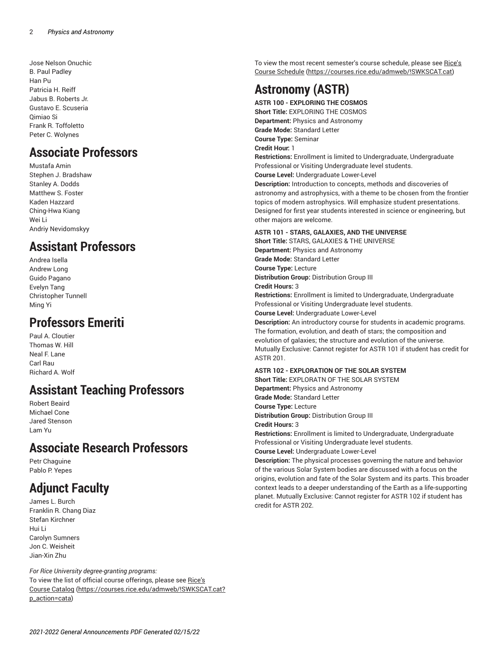Jose Nelson Onuchic B. Paul Padley Han Pu Patricia H. Reiff Jabus B. Roberts Jr. Gustavo E. Scuseria Qimiao Si Frank R. Toffoletto Peter C. Wolynes

## **Associate Professors**

Mustafa Amin Stephen J. Bradshaw Stanley A. Dodds Matthew S. Foster Kaden Hazzard Ching-Hwa Kiang Wei Li Andriy Nevidomskyy

## **Assistant Professors**

Andrea Isella Andrew Long Guido Pagano Evelyn Tang Christopher Tunnell Ming Yi

## **Professors Emeriti**

Paul A. Cloutier Thomas W. Hill Neal F. Lane Carl Rau Richard A. Wolf

## **Assistant Teaching Professors**

Robert Beaird Michael Cone Jared Stenson Lam Yu

## **Associate Research Professors**

Petr Chaguine Pablo P. Yepes

## **Adjunct Faculty**

James L. Burch Franklin R. Chang Diaz Stefan Kirchner Hui Li Carolyn Sumners Jon C. Weisheit Jian-Xin Zhu

*For Rice University degree-granting programs:* To view the list of official course offerings, please see [Rice's](https://courses.rice.edu/admweb/!SWKSCAT.cat?p_action=cata) [Course Catalog](https://courses.rice.edu/admweb/!SWKSCAT.cat?p_action=cata) ([https://courses.rice.edu/admweb/!SWKSCAT.cat?](https://courses.rice.edu/admweb/!SWKSCAT.cat?p_action=cata) [p\\_action=cata\)](https://courses.rice.edu/admweb/!SWKSCAT.cat?p_action=cata)

To view the most recent semester's course schedule, please see [Rice's](https://courses.rice.edu/admweb/!SWKSCAT.cat) [Course Schedule](https://courses.rice.edu/admweb/!SWKSCAT.cat) ([https://courses.rice.edu/admweb/!SWKSCAT.cat\)](https://courses.rice.edu/admweb/!SWKSCAT.cat)

## **Astronomy (ASTR)**

**ASTR 100 - EXPLORING THE COSMOS Short Title:** EXPLORING THE COSMOS **Department:** Physics and Astronomy **Grade Mode:** Standard Letter **Course Type:** Seminar **Credit Hour:** 1 **Restrictions:** Enrollment is limited to Undergraduate, Undergraduate Professional or Visiting Undergraduate level students. **Course Level:** Undergraduate Lower-Level **Description:** Introduction to concepts, methods and discoveries of

astronomy and astrophysics, with a theme to be chosen from the frontier topics of modern astrophysics. Will emphasize student presentations. Designed for first year students interested in science or engineering, but other majors are welcome.

#### **ASTR 101 - STARS, GALAXIES, AND THE UNIVERSE**

**Short Title:** STARS, GALAXIES & THE UNIVERSE **Department:** Physics and Astronomy **Grade Mode:** Standard Letter **Course Type:** Lecture **Distribution Group:** Distribution Group III **Credit Hours:** 3 **Restrictions:** Enrollment is limited to Undergraduate, Undergraduate Professional or Visiting Undergraduate level students. **Course Level:** Undergraduate Lower-Level **Description:** An introductory course for students in academic programs. The formation, evolution, and death of stars; the composition and evolution of galaxies; the structure and evolution of the universe. Mutually Exclusive: Cannot register for ASTR 101 if student has credit for ASTR 201.

#### **ASTR 102 - EXPLORATION OF THE SOLAR SYSTEM**

**Short Title:** EXPLORATN OF THE SOLAR SYSTEM **Department:** Physics and Astronomy **Grade Mode:** Standard Letter **Course Type:** Lecture **Distribution Group:** Distribution Group III **Credit Hours:** 3 **Restrictions:** Enrollment is limited to Undergraduate, Undergraduate Professional or Visiting Undergraduate level students. **Course Level:** Undergraduate Lower-Level **Description:** The physical processes governing the nature and behavior

of the various Solar System bodies are discussed with a focus on the origins, evolution and fate of the Solar System and its parts. This broader context leads to a deeper understanding of the Earth as a life-supporting planet. Mutually Exclusive: Cannot register for ASTR 102 if student has credit for ASTR 202.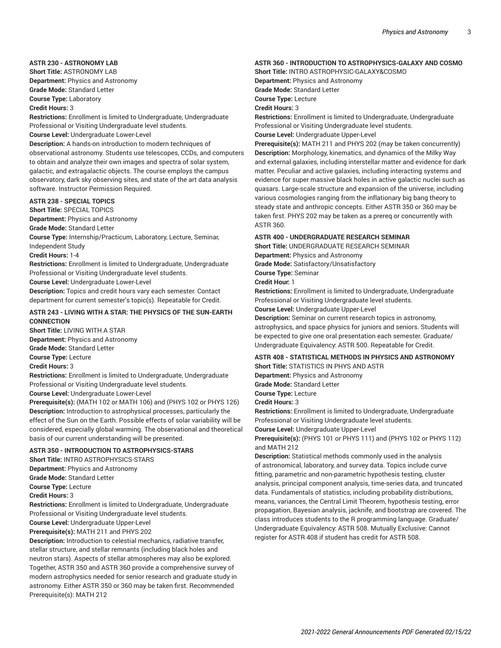#### **ASTR 230 - ASTRONOMY LAB**

**Short Title:** ASTRONOMY LAB **Department:** Physics and Astronomy **Grade Mode:** Standard Letter

**Course Type:** Laboratory

**Credit Hours:** 3

**Restrictions:** Enrollment is limited to Undergraduate, Undergraduate Professional or Visiting Undergraduate level students. **Course Level:** Undergraduate Lower-Level **Description:** A hands-on introduction to modern techniques of observational astronomy. Students use telescopes, CCDs, and computers to obtain and analyze their own images and spectra of solar system, galactic, and extragalactic objects. The course employs the campus

### observatory, dark sky observing sites, and state of the art data analysis software. Instructor Permission Required.

### **ASTR 238 - SPECIAL TOPICS**

**Short Title:** SPECIAL TOPICS

**Department:** Physics and Astronomy

**Grade Mode:** Standard Letter

**Course Type:** Internship/Practicum, Laboratory, Lecture, Seminar,

Independent Study

**Credit Hours:** 1-4

**Restrictions:** Enrollment is limited to Undergraduate, Undergraduate Professional or Visiting Undergraduate level students.

**Course Level:** Undergraduate Lower-Level

**Description:** Topics and credit hours vary each semester. Contact department for current semester's topic(s). Repeatable for Credit.

#### **ASTR 243 - LIVING WITH A STAR: THE PHYSICS OF THE SUN-EARTH CONNECTION**

**Short Title:** LIVING WITH A STAR

**Department:** Physics and Astronomy

**Grade Mode:** Standard Letter

**Course Type:** Lecture

**Credit Hours:** 3

**Restrictions:** Enrollment is limited to Undergraduate, Undergraduate Professional or Visiting Undergraduate level students.

**Course Level:** Undergraduate Lower-Level

**Prerequisite(s):** (MATH 102 or MATH 106) and (PHYS 102 or PHYS 126) **Description:** Introduction to astrophysical processes, particularly the effect of the Sun on the Earth. Possible effects of solar variability will be considered, especially global warming. The observational and theoretical basis of our current understanding will be presented.

#### **ASTR 350 - INTRODUCTION TO ASTROPHYSICS-STARS**

**Short Title:** INTRO ASTROPHYSICS-STARS **Department:** Physics and Astronomy **Grade Mode:** Standard Letter **Course Type:** Lecture **Credit Hours:** 3

**Restrictions:** Enrollment is limited to Undergraduate, Undergraduate Professional or Visiting Undergraduate level students.

**Course Level:** Undergraduate Upper-Level

### **Prerequisite(s):** MATH 211 and PHYS 202

**Description:** Introduction to celestial mechanics, radiative transfer, stellar structure, and stellar remnants (including black holes and neutron stars). Aspects of stellar atmospheres may also be explored. Together, ASTR 350 and ASTR 360 provide a comprehensive survey of modern astrophysics needed for senior research and graduate study in astronomy. Either ASTR 350 or 360 may be taken first. Recommended Prerequisite(s): MATH 212

#### **ASTR 360 - INTRODUCTION TO ASTROPHYSICS-GALAXY AND COSMO**

**Short Title:** INTRO ASTROPHYSIC-GALAXY&COSMO

**Department:** Physics and Astronomy

**Grade Mode:** Standard Letter **Course Type:** Lecture

**Credit Hours:** 3

**Restrictions:** Enrollment is limited to Undergraduate, Undergraduate Professional or Visiting Undergraduate level students.

**Course Level:** Undergraduate Upper-Level

**Prerequisite(s):** MATH 211 and PHYS 202 (may be taken concurrently) **Description:** Morphology, kinematics, and dynamics of the Milky Way and external galaxies, including interstellar matter and evidence for dark matter. Peculiar and active galaxies, including interacting systems and evidence for super massive black holes in active galactic nuclei such as quasars. Large-scale structure and expansion of the universe, including various cosmologies ranging from the inflationary big bang theory to steady state and anthropic concepts. Either ASTR 350 or 360 may be taken first. PHYS 202 may be taken as a prereq or concurrently with ASTR 360.

#### **ASTR 400 - UNDERGRADUATE RESEARCH SEMINAR**

**Short Title:** UNDERGRADUATE RESEARCH SEMINAR

**Department:** Physics and Astronomy

**Grade Mode:** Satisfactory/Unsatisfactory

**Course Type:** Seminar

**Credit Hour:** 1

**Restrictions:** Enrollment is limited to Undergraduate, Undergraduate Professional or Visiting Undergraduate level students.

**Course Level:** Undergraduate Upper-Level

**Description:** Seminar on current research topics in astronomy, astrophysics, and space physics for juniors and seniors. Students will be expected to give one oral presentation each semester. Graduate/ Undergraduate Equivalency: ASTR 500. Repeatable for Credit.

#### **ASTR 408 - STATISTICAL METHODS IN PHYSICS AND ASTRONOMY**

**Short Title:** STATISTICS IN PHYS AND ASTR

**Department:** Physics and Astronomy **Grade Mode:** Standard Letter

**Course Type:** Lecture

**Credit Hours:** 3

**Restrictions:** Enrollment is limited to Undergraduate, Undergraduate Professional or Visiting Undergraduate level students.

**Course Level:** Undergraduate Upper-Level

**Prerequisite(s):** (PHYS 101 or PHYS 111) and (PHYS 102 or PHYS 112) and MATH 212

**Description:** Statistical methods commonly used in the analysis of astronomical, laboratory, and survey data. Topics include curve fitting, parametric and non-parametric hypothesis testing, cluster analysis, principal component analysis, time-series data, and truncated data. Fundamentals of statistics, including probability distributions, means, variances, the Central Limit Theorem, hypothesis testing, error propagation, Bayesian analysis, jacknife, and bootstrap are covered. The class introduces students to the R programming language. Graduate/ Undergraduate Equivalency: ASTR 508. Mutually Exclusive: Cannot register for ASTR 408 if student has credit for ASTR 508.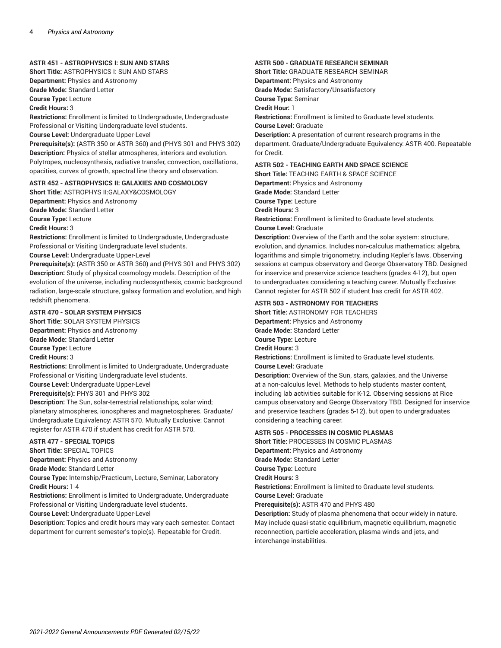#### **ASTR 451 - ASTROPHYSICS I: SUN AND STARS**

**Short Title:** ASTROPHYSICS I: SUN AND STARS **Department:** Physics and Astronomy **Grade Mode:** Standard Letter **Course Type:** Lecture

**Credit Hours:** 3

**Restrictions:** Enrollment is limited to Undergraduate, Undergraduate Professional or Visiting Undergraduate level students.

**Course Level:** Undergraduate Upper-Level

**Prerequisite(s):** (ASTR 350 or ASTR 360) and (PHYS 301 and PHYS 302) **Description:** Physics of stellar atmospheres, interiors and evolution. Polytropes, nucleosynthesis, radiative transfer, convection, oscillations, opacities, curves of growth, spectral line theory and observation.

#### **ASTR 452 - ASTROPHYSICS II: GALAXIES AND COSMOLOGY**

**Short Title:** ASTROPHYS II:GALAXY&COSMOLOGY **Department:** Physics and Astronomy **Grade Mode:** Standard Letter **Course Type:** Lecture **Credit Hours:** 3

**Restrictions:** Enrollment is limited to Undergraduate, Undergraduate Professional or Visiting Undergraduate level students.

**Course Level:** Undergraduate Upper-Level

**Prerequisite(s):** (ASTR 350 or ASTR 360) and (PHYS 301 and PHYS 302) **Description:** Study of physical cosmology models. Description of the evolution of the universe, including nucleosynthesis, cosmic background radiation, large-scale structure, galaxy formation and evolution, and high redshift phenomena.

#### **ASTR 470 - SOLAR SYSTEM PHYSICS**

**Short Title:** SOLAR SYSTEM PHYSICS **Department:** Physics and Astronomy **Grade Mode:** Standard Letter **Course Type:** Lecture **Credit Hours:** 3 **Restrictions:** Enrollment is limited to Undergraduate, Undergraduate

Professional or Visiting Undergraduate level students.

**Course Level:** Undergraduate Upper-Level

**Prerequisite(s):** PHYS 301 and PHYS 302

**Description:** The Sun, solar-terrestrial relationships, solar wind; planetary atmospheres, ionospheres and magnetospheres. Graduate/ Undergraduate Equivalency: ASTR 570. Mutually Exclusive: Cannot register for ASTR 470 if student has credit for ASTR 570.

### **ASTR 477 - SPECIAL TOPICS**

**Short Title:** SPECIAL TOPICS

**Department:** Physics and Astronomy

**Grade Mode:** Standard Letter

**Course Type:** Internship/Practicum, Lecture, Seminar, Laboratory **Credit Hours:** 1-4

**Restrictions:** Enrollment is limited to Undergraduate, Undergraduate Professional or Visiting Undergraduate level students.

**Course Level:** Undergraduate Upper-Level

**Description:** Topics and credit hours may vary each semester. Contact department for current semester's topic(s). Repeatable for Credit.

#### **ASTR 500 - GRADUATE RESEARCH SEMINAR**

**Short Title:** GRADUATE RESEARCH SEMINAR

**Department:** Physics and Astronomy

**Grade Mode:** Satisfactory/Unsatisfactory

**Course Type:** Seminar

**Credit Hour:** 1

**Restrictions:** Enrollment is limited to Graduate level students.

**Course Level:** Graduate

**Description:** A presentation of current research programs in the department. Graduate/Undergraduate Equivalency: ASTR 400. Repeatable for Credit.

#### **ASTR 502 - TEACHING EARTH AND SPACE SCIENCE**

**Short Title:** TEACHNG EARTH & SPACE SCIENCE

**Department:** Physics and Astronomy **Grade Mode:** Standard Letter **Course Type:** Lecture

**Credit Hours:** 3

**Restrictions:** Enrollment is limited to Graduate level students.

**Course Level:** Graduate

**Description:** Overview of the Earth and the solar system: structure, evolution, and dynamics. Includes non-calculus mathematics: algebra, logarithms and simple trigonometry, including Kepler's laws. Observing sessions at campus observatory and George Observatory TBD. Designed for inservice and preservice science teachers (grades 4-12), but open to undergraduates considering a teaching career. Mutually Exclusive: Cannot register for ASTR 502 if student has credit for ASTR 402.

#### **ASTR 503 - ASTRONOMY FOR TEACHERS**

**Short Title:** ASTRONOMY FOR TEACHERS **Department:** Physics and Astronomy **Grade Mode:** Standard Letter **Course Type:** Lecture **Credit Hours:** 3 **Restrictions:** Enrollment is limited to Graduate level students. **Course Level:** Graduate

**Description:** Overview of the Sun, stars, galaxies, and the Universe at a non-calculus level. Methods to help students master content, including lab activities suitable for K-12. Observing sessions at Rice campus observatory and George Observatory TBD. Designed for inservice and preservice teachers (grades 5-12), but open to undergraduates considering a teaching career.

#### **ASTR 505 - PROCESSES IN COSMIC PLASMAS**

**Short Title:** PROCESSES IN COSMIC PLASMAS

**Department:** Physics and Astronomy

**Grade Mode:** Standard Letter

**Course Type:** Lecture

**Credit Hours:** 3

**Restrictions:** Enrollment is limited to Graduate level students.

**Course Level:** Graduate

**Prerequisite(s):** ASTR 470 and PHYS 480

**Description:** Study of plasma phenomena that occur widely in nature. May include quasi-static equilibrium, magnetic equilibrium, magnetic reconnection, particle acceleration, plasma winds and jets, and interchange instabilities.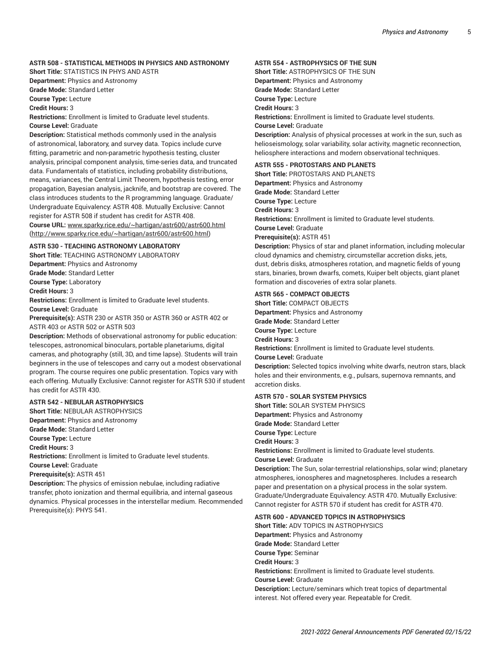#### **ASTR 508 - STATISTICAL METHODS IN PHYSICS AND ASTRONOMY**

**Short Title:** STATISTICS IN PHYS AND ASTR **Department:** Physics and Astronomy

**Grade Mode:** Standard Letter

**Course Type:** Lecture

**Credit Hours:** 3

**Restrictions:** Enrollment is limited to Graduate level students. **Course Level:** Graduate

**Description:** Statistical methods commonly used in the analysis of astronomical, laboratory, and survey data. Topics include curve fitting, parametric and non-parametric hypothesis testing, cluster analysis, principal component analysis, time-series data, and truncated data. Fundamentals of statistics, including probability distributions, means, variances, the Central Limit Theorem, hypothesis testing, error propagation, Bayesian analysis, jacknife, and bootstrap are covered. The class introduces students to the R programming language. Graduate/ Undergraduate Equivalency: ASTR 408. Mutually Exclusive: Cannot register for ASTR 508 if student has credit for ASTR 408. **Course URL:** [www.sparky.rice.edu/~hartigan/astr600/astr600.html](http://www.sparky.rice.edu/~hartigan/astr600/astr600.html) ([http://www.sparky.rice.edu/~hartigan/astr600/astr600.html\)](http://www.sparky.rice.edu/~hartigan/astr600/astr600.html)

#### **ASTR 530 - TEACHING ASTRONOMY LABORATORY**

**Short Title:** TEACHING ASTRONOMY LABORATORY **Department:** Physics and Astronomy **Grade Mode:** Standard Letter **Course Type:** Laboratory **Credit Hours:** 3

**Restrictions:** Enrollment is limited to Graduate level students. **Course Level:** Graduate

**Prerequisite(s):** ASTR 230 or ASTR 350 or ASTR 360 or ASTR 402 or ASTR 403 or ASTR 502 or ASTR 503

**Description:** Methods of observational astronomy for public education: telescopes, astronomical binoculars, portable planetariums, digital cameras, and photography (still, 3D, and time lapse). Students will train beginners in the use of telescopes and carry out a modest observational program. The course requires one public presentation. Topics vary with each offering. Mutually Exclusive: Cannot register for ASTR 530 if student has credit for ASTR 430.

#### **ASTR 542 - NEBULAR ASTROPHYSICS**

**Short Title:** NEBULAR ASTROPHYSICS

**Department:** Physics and Astronomy

**Grade Mode:** Standard Letter

**Course Type:** Lecture

**Credit Hours:** 3

**Restrictions:** Enrollment is limited to Graduate level students. **Course Level:** Graduate

**Prerequisite(s):** ASTR 451

**Description:** The physics of emission nebulae, including radiative transfer, photo ionization and thermal equilibria, and internal gaseous dynamics. Physical processes in the interstellar medium. Recommended Prerequisite(s): PHYS 541.

#### **ASTR 554 - ASTROPHYSICS OF THE SUN**

**Short Title:** ASTROPHYSICS OF THE SUN **Department:** Physics and Astronomy **Grade Mode:** Standard Letter **Course Type:** Lecture **Credit Hours:** 3 **Restrictions:** Enrollment is limited to Graduate level students. **Course Level:** Graduate **Description:** Analysis of physical processes at work in the sun, such as helioseismology, solar variability, solar activity, magnetic reconnection,

#### **ASTR 555 - PROTOSTARS AND PLANETS**

**Short Title:** PROTOSTARS AND PLANETS **Department:** Physics and Astronomy **Grade Mode:** Standard Letter **Course Type:** Lecture **Credit Hours:** 3 **Restrictions:** Enrollment is limited to Graduate level students. **Course Level:** Graduate **Prerequisite(s):** ASTR 451 **Description:** Physics of star and planet information, including molecular

heliosphere interactions and modern observational techniques.

cloud dynamics and chemistry, circumstellar accretion disks, jets, dust, debris disks, atmospheres rotation, and magnetic fields of young stars, binaries, brown dwarfs, comets, Kuiper belt objects, giant planet formation and discoveries of extra solar planets.

#### **ASTR 565 - COMPACT OBJECTS**

**Short Title:** COMPACT OBJECTS **Department:** Physics and Astronomy **Grade Mode:** Standard Letter **Course Type:** Lecture **Credit Hours:** 3 **Restrictions:** Enrollment is limited to Graduate level students. **Course Level:** Graduate **Description:** Selected topics involving white dwarfs, neutron stars, black holes and their environments, e.g., pulsars, supernova remnants, and accretion disks.

#### **ASTR 570 - SOLAR SYSTEM PHYSICS**

**Short Title:** SOLAR SYSTEM PHYSICS **Department:** Physics and Astronomy **Grade Mode:** Standard Letter **Course Type:** Lecture **Credit Hours:** 3 **Restrictions:** Enrollment is limited to Graduate level students. **Course Level:** Graduate **Description:** The Sun, solar-terrestrial relationships, solar wind; planetary atmospheres, ionospheres and magnetospheres. Includes a research paper and presentation on a physical process in the solar system. Graduate/Undergraduate Equivalency: ASTR 470. Mutually Exclusive:

Cannot register for ASTR 570 if student has credit for ASTR 470.

#### **ASTR 600 - ADVANCED TOPICS IN ASTROPHYSICS**

**Short Title:** ADV TOPICS IN ASTROPHYSICS **Department:** Physics and Astronomy **Grade Mode:** Standard Letter **Course Type:** Seminar **Credit Hours:** 3 **Restrictions:** Enrollment is limited to Graduate level students. **Course Level:** Graduate **Description:** Lecture/seminars which treat topics of departmental interest. Not offered every year. Repeatable for Credit.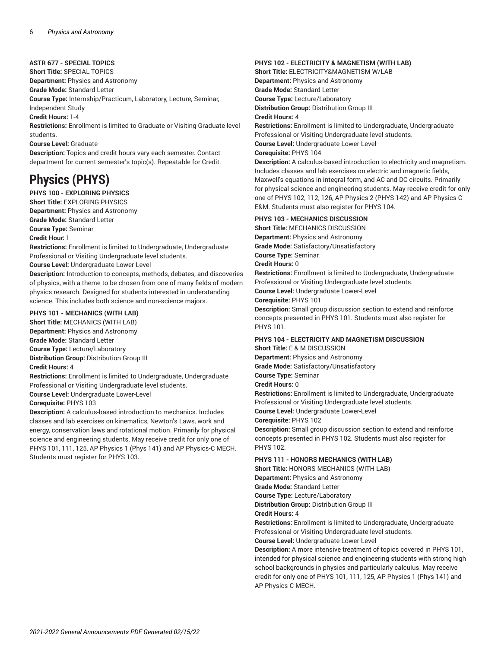**ASTR 677 - SPECIAL TOPICS**

**Short Title:** SPECIAL TOPICS

**Department:** Physics and Astronomy

**Grade Mode:** Standard Letter

**Course Type:** Internship/Practicum, Laboratory, Lecture, Seminar,

Independent Study

**Credit Hours:** 1-4

**Restrictions:** Enrollment is limited to Graduate or Visiting Graduate level students.

**Course Level:** Graduate

**Description:** Topics and credit hours vary each semester. Contact department for current semester's topic(s). Repeatable for Credit.

## **Physics (PHYS)**

#### **PHYS 100 - EXPLORING PHYSICS**

**Short Title:** EXPLORING PHYSICS **Department:** Physics and Astronomy **Grade Mode:** Standard Letter **Course Type:** Seminar **Credit Hour:** 1

**Restrictions:** Enrollment is limited to Undergraduate, Undergraduate Professional or Visiting Undergraduate level students.

**Course Level:** Undergraduate Lower-Level

**Description:** Introduction to concepts, methods, debates, and discoveries of physics, with a theme to be chosen from one of many fields of modern physics research. Designed for students interested in understanding science. This includes both science and non-science majors.

#### **PHYS 101 - MECHANICS (WITH LAB)**

**Short Title:** MECHANICS (WITH LAB) **Department:** Physics and Astronomy **Grade Mode:** Standard Letter **Course Type:** Lecture/Laboratory **Distribution Group:** Distribution Group III **Credit Hours:** 4

**Restrictions:** Enrollment is limited to Undergraduate, Undergraduate Professional or Visiting Undergraduate level students. **Course Level:** Undergraduate Lower-Level

#### **Corequisite:** PHYS 103

**Description:** A calculus-based introduction to mechanics. Includes classes and lab exercises on kinematics, Newton's Laws, work and energy, conservation laws and rotational motion. Primarily for physical science and engineering students. May receive credit for only one of PHYS 101, 111, 125, AP Physics 1 (Phys 141) and AP Physics-C MECH. Students must register for PHYS 103.

#### **PHYS 102 - ELECTRICITY & MAGNETISM (WITH LAB)**

**Short Title:** ELECTRICITY&MAGNETISM W/LAB **Department:** Physics and Astronomy **Grade Mode:** Standard Letter **Course Type:** Lecture/Laboratory **Distribution Group:** Distribution Group III

**Credit Hours:** 4

**Restrictions:** Enrollment is limited to Undergraduate, Undergraduate Professional or Visiting Undergraduate level students. **Course Level:** Undergraduate Lower-Level

**Corequisite:** PHYS 104

**Description:** A calculus-based introduction to electricity and magnetism. Includes classes and lab exercises on electric and magnetic fields, Maxwell's equations in integral form, and AC and DC circuits. Primarily for physical science and engineering students. May receive credit for only one of PHYS 102, 112, 126, AP Physics 2 (PHYS 142) and AP Physics-C E&M. Students must also register for PHYS 104.

#### **PHYS 103 - MECHANICS DISCUSSION**

**Short Title:** MECHANICS DISCUSSION **Department:** Physics and Astronomy **Grade Mode:** Satisfactory/Unsatisfactory **Course Type:** Seminar **Credit Hours:** 0 **Restrictions:** Enrollment is limited to Undergraduate, Undergraduate Professional or Visiting Undergraduate level students. **Course Level:** Undergraduate Lower-Level **Corequisite:** PHYS 101 **Description:** Small group discussion section to extend and reinforce

concepts presented in PHYS 101. Students must also register for **PHYS 101** 

## **PHYS 104 - ELECTRICITY AND MAGNETISM DISCUSSION**

**Short Title:** E & M DISCUSSION **Department:** Physics and Astronomy

**Grade Mode:** Satisfactory/Unsatisfactory

**Course Type:** Seminar

**Credit Hours:** 0

**Restrictions:** Enrollment is limited to Undergraduate, Undergraduate Professional or Visiting Undergraduate level students.

**Course Level:** Undergraduate Lower-Level

**Corequisite:** PHYS 102

**Description:** Small group discussion section to extend and reinforce concepts presented in PHYS 102. Students must also register for PHYS 102.

#### **PHYS 111 - HONORS MECHANICS (WITH LAB)**

**Short Title:** HONORS MECHANICS (WITH LAB) **Department:** Physics and Astronomy **Grade Mode:** Standard Letter **Course Type:** Lecture/Laboratory **Distribution Group:** Distribution Group III

**Credit Hours:** 4

**Restrictions:** Enrollment is limited to Undergraduate, Undergraduate Professional or Visiting Undergraduate level students.

**Course Level:** Undergraduate Lower-Level

**Description:** A more intensive treatment of topics covered in PHYS 101, intended for physical science and engineering students with strong high school backgrounds in physics and particularly calculus. May receive credit for only one of PHYS 101, 111, 125, AP Physics 1 (Phys 141) and AP Physics-C MECH.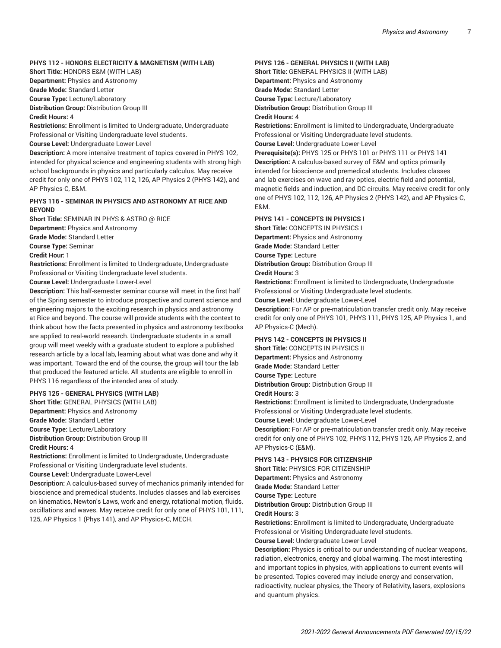#### **PHYS 112 - HONORS ELECTRICITY & MAGNETISM (WITH LAB)**

**Short Title:** HONORS E&M (WITH LAB)

**Department:** Physics and Astronomy

**Grade Mode:** Standard Letter

**Course Type:** Lecture/Laboratory

**Distribution Group:** Distribution Group III

**Credit Hours:** 4

**Restrictions:** Enrollment is limited to Undergraduate, Undergraduate Professional or Visiting Undergraduate level students.

**Course Level:** Undergraduate Lower-Level

**Description:** A more intensive treatment of topics covered in PHYS 102, intended for physical science and engineering students with strong high school backgrounds in physics and particularly calculus. May receive credit for only one of PHYS 102, 112, 126, AP Physics 2 (PHYS 142), and AP Physics-C, E&M.

#### **PHYS 116 - SEMINAR IN PHYSICS AND ASTRONOMY AT RICE AND BEYOND**

**Short Title:** SEMINAR IN PHYS & ASTRO @ RICE **Department:** Physics and Astronomy **Grade Mode:** Standard Letter **Course Type:** Seminar

**Credit Hour:** 1

**Restrictions:** Enrollment is limited to Undergraduate, Undergraduate Professional or Visiting Undergraduate level students.

**Course Level:** Undergraduate Lower-Level

**Description:** This half-semester seminar course will meet in the first half of the Spring semester to introduce prospective and current science and engineering majors to the exciting research in physics and astronomy at Rice and beyond. The course will provide students with the context to think about how the facts presented in physics and astronomy textbooks are applied to real-world research. Undergraduate students in a small group will meet weekly with a graduate student to explore a published research article by a local lab, learning about what was done and why it was important. Toward the end of the course, the group will tour the lab that produced the featured article. All students are eligible to enroll in PHYS 116 regardless of the intended area of study.

#### **PHYS 125 - GENERAL PHYSICS (WITH LAB)**

**Short Title:** GENERAL PHYSICS (WITH LAB) **Department:** Physics and Astronomy **Grade Mode:** Standard Letter **Course Type:** Lecture/Laboratory **Distribution Group:** Distribution Group III

**Credit Hours:** 4

**Restrictions:** Enrollment is limited to Undergraduate, Undergraduate Professional or Visiting Undergraduate level students.

**Course Level:** Undergraduate Lower-Level

**Description:** A calculus-based survey of mechanics primarily intended for bioscience and premedical students. Includes classes and lab exercises on kinematics, Newton's Laws, work and energy, rotational motion, fluids, oscillations and waves. May receive credit for only one of PHYS 101, 111, 125, AP Physics 1 (Phys 141), and AP Physics-C, MECH.

#### **PHYS 126 - GENERAL PHYSICS II (WITH LAB)**

**Short Title:** GENERAL PHYSICS II (WITH LAB) **Department:** Physics and Astronomy **Grade Mode:** Standard Letter **Course Type:** Lecture/Laboratory **Distribution Group:** Distribution Group III **Credit Hours:** 4

**Restrictions:** Enrollment is limited to Undergraduate, Undergraduate Professional or Visiting Undergraduate level students. **Course Level:** Undergraduate Lower-Level

**Prerequisite(s):** PHYS 125 or PHYS 101 or PHYS 111 or PHYS 141 **Description:** A calculus-based survey of E&M and optics primarily intended for bioscience and premedical students. Includes classes and lab exercises on wave and ray optics, electric field and potential, magnetic fields and induction, and DC circuits. May receive credit for only one of PHYS 102, 112, 126, AP Physics 2 (PHYS 142), and AP Physics-C, E&M.

#### **PHYS 141 - CONCEPTS IN PHYSICS I**

**Short Title:** CONCEPTS IN PHYSICS I **Department:** Physics and Astronomy

**Grade Mode:** Standard Letter

**Course Type:** Lecture

**Distribution Group:** Distribution Group III

**Credit Hours:** 3

**Restrictions:** Enrollment is limited to Undergraduate, Undergraduate Professional or Visiting Undergraduate level students.

**Course Level:** Undergraduate Lower-Level

**Description:** For AP or pre-matriculation transfer credit only. May receive credit for only one of PHYS 101, PHYS 111, PHYS 125, AP Physics 1, and AP Physics-C (Mech).

#### **PHYS 142 - CONCEPTS IN PHYSICS II**

**Short Title:** CONCEPTS IN PHYSICS II **Department:** Physics and Astronomy **Grade Mode:** Standard Letter

**Course Type:** Lecture

**Distribution Group:** Distribution Group III

#### **Credit Hours:** 3

**Restrictions:** Enrollment is limited to Undergraduate, Undergraduate Professional or Visiting Undergraduate level students.

**Course Level:** Undergraduate Lower-Level

**Description:** For AP or pre-matriculation transfer credit only. May receive credit for only one of PHYS 102, PHYS 112, PHYS 126, AP Physics 2, and AP Physics-C (E&M).

#### **PHYS 143 - PHYSICS FOR CITIZENSHIP**

**Short Title:** PHYSICS FOR CITIZENSHIP **Department:** Physics and Astronomy **Grade Mode:** Standard Letter **Course Type:** Lecture **Distribution Group:** Distribution Group III **Credit Hours:** 3

**Restrictions:** Enrollment is limited to Undergraduate, Undergraduate Professional or Visiting Undergraduate level students.

**Course Level:** Undergraduate Lower-Level

**Description:** Physics is critical to our understanding of nuclear weapons, radiation, electronics, energy and global warming. The most interesting and important topics in physics, with applications to current events will be presented. Topics covered may include energy and conservation, radioactivity, nuclear physics, the Theory of Relativity, lasers, explosions and quantum physics.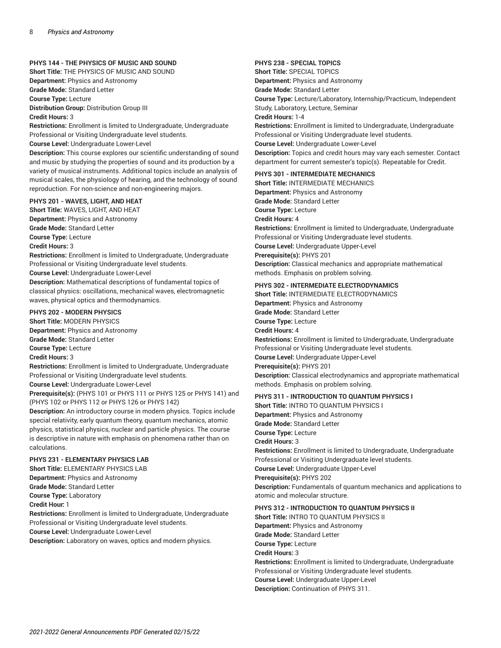#### **PHYS 144 - THE PHYSICS OF MUSIC AND SOUND**

**Short Title:** THE PHYSICS OF MUSIC AND SOUND **Department:** Physics and Astronomy **Grade Mode:** Standard Letter **Course Type:** Lecture **Distribution Group:** Distribution Group III **Credit Hours:** 3

**Restrictions:** Enrollment is limited to Undergraduate, Undergraduate Professional or Visiting Undergraduate level students. **Course Level:** Undergraduate Lower-Level

**Description:** This course explores our scientific understanding of sound and music by studying the properties of sound and its production by a variety of musical instruments. Additional topics include an analysis of musical scales, the physiology of hearing, and the technology of sound reproduction. For non-science and non-engineering majors.

#### **PHYS 201 - WAVES, LIGHT, AND HEAT**

**Short Title:** WAVES, LIGHT, AND HEAT **Department:** Physics and Astronomy **Grade Mode:** Standard Letter **Course Type:** Lecture

**Credit Hours:** 3

**Restrictions:** Enrollment is limited to Undergraduate, Undergraduate Professional or Visiting Undergraduate level students.

**Course Level:** Undergraduate Lower-Level

**Description:** Mathematical descriptions of fundamental topics of classical physics: oscillations, mechanical waves, electromagnetic waves, physical optics and thermodynamics.

#### **PHYS 202 - MODERN PHYSICS**

**Short Title:** MODERN PHYSICS **Department:** Physics and Astronomy

**Grade Mode:** Standard Letter

**Course Type:** Lecture

**Credit Hours:** 3

**Restrictions:** Enrollment is limited to Undergraduate, Undergraduate Professional or Visiting Undergraduate level students. **Course Level:** Undergraduate Lower-Level

**Prerequisite(s):** (PHYS 101 or PHYS 111 or PHYS 125 or PHYS 141) and (PHYS 102 or PHYS 112 or PHYS 126 or PHYS 142)

**Description:** An introductory course in modern physics. Topics include special relativity, early quantum theory, quantum mechanics, atomic physics, statistical physics, nuclear and particle physics. The course is descriptive in nature with emphasis on phenomena rather than on calculations.

#### **PHYS 231 - ELEMENTARY PHYSICS LAB**

**Short Title:** ELEMENTARY PHYSICS LAB **Department:** Physics and Astronomy **Grade Mode:** Standard Letter **Course Type:** Laboratory **Credit Hour:** 1 **Restrictions:** Enrollment is limited to Undergraduate, Undergraduate Professional or Visiting Undergraduate level students. **Course Level:** Undergraduate Lower-Level

**Description:** Laboratory on waves, optics and modern physics.

**PHYS 238 - SPECIAL TOPICS Short Title:** SPECIAL TOPICS **Department:** Physics and Astronomy **Grade Mode:** Standard Letter **Course Type:** Lecture/Laboratory, Internship/Practicum, Independent Study, Laboratory, Lecture, Seminar **Credit Hours:** 1-4 **Restrictions:** Enrollment is limited to Undergraduate, Undergraduate Professional or Visiting Undergraduate level students. **Course Level:** Undergraduate Lower-Level **Description:** Topics and credit hours may vary each semester. Contact department for current semester's topic(s). Repeatable for Credit.

#### **PHYS 301 - INTERMEDIATE MECHANICS**

**Short Title:** INTERMEDIATE MECHANICS **Department:** Physics and Astronomy **Grade Mode:** Standard Letter **Course Type:** Lecture **Credit Hours:** 4 **Restrictions:** Enrollment is limited to Undergraduate, Undergraduate Professional or Visiting Undergraduate level students. **Course Level:** Undergraduate Upper-Level **Prerequisite(s):** PHYS 201 **Description:** Classical mechanics and appropriate mathematical methods. Emphasis on problem solving.

#### **PHYS 302 - INTERMEDIATE ELECTRODYNAMICS**

**Short Title:** INTERMEDIATE ELECTRODYNAMICS **Department:** Physics and Astronomy **Grade Mode:** Standard Letter **Course Type:** Lecture **Credit Hours:** 4 **Restrictions:** Enrollment is limited to Undergraduate, Undergraduate Professional or Visiting Undergraduate level students. **Course Level:** Undergraduate Upper-Level **Prerequisite(s):** PHYS 201 **Description:** Classical electrodynamics and appropriate mathematical methods. Emphasis on problem solving.

#### **PHYS 311 - INTRODUCTION TO QUANTUM PHYSICS I**

**Short Title:** INTRO TO QUANTUM PHYSICS I **Department:** Physics and Astronomy **Grade Mode:** Standard Letter **Course Type:** Lecture **Credit Hours:** 3 **Restrictions:** Enrollment is limited to Undergraduate, Undergraduate Professional or Visiting Undergraduate level students. **Course Level:** Undergraduate Upper-Level **Prerequisite(s):** PHYS 202 **Description:** Fundamentals of quantum mechanics and applications to atomic and molecular structure.

#### **PHYS 312 - INTRODUCTION TO QUANTUM PHYSICS II**

**Short Title:** INTRO TO QUANTUM PHYSICS II **Department:** Physics and Astronomy **Grade Mode:** Standard Letter **Course Type:** Lecture **Credit Hours:** 3 **Restrictions:** Enrollment is limited to Undergraduate, Undergraduate Professional or Visiting Undergraduate level students. **Course Level:** Undergraduate Upper-Level

**Description:** Continuation of PHYS 311.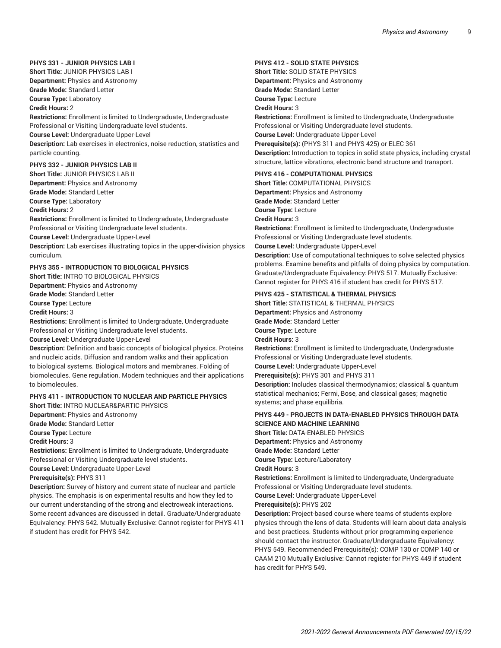#### **PHYS 331 - JUNIOR PHYSICS LAB I**

**Short Title:** JUNIOR PHYSICS LAB I **Department:** Physics and Astronomy **Grade Mode:** Standard Letter **Course Type:** Laboratory

**Credit Hours:** 2

**Restrictions:** Enrollment is limited to Undergraduate, Undergraduate Professional or Visiting Undergraduate level students. **Course Level:** Undergraduate Upper-Level **Description:** Lab exercises in electronics, noise reduction, statistics and particle counting.

#### **PHYS 332 - JUNIOR PHYSICS LAB II**

**Short Title:** JUNIOR PHYSICS LAB II **Department:** Physics and Astronomy **Grade Mode:** Standard Letter **Course Type:** Laboratory **Credit Hours:** 2 **Restrictions:** Enrollment is limited to Undergraduate, Undergraduate Professional or Visiting Undergraduate level students. **Course Level:** Undergraduate Upper-Level **Description:** Lab exercises illustrating topics in the upper-division physics curriculum.

### **PHYS 355 - INTRODUCTION TO BIOLOGICAL PHYSICS**

**Short Title:** INTRO TO BIOLOGICAL PHYSICS

**Department:** Physics and Astronomy **Grade Mode:** Standard Letter

**Course Type:** Lecture

**Credit Hours:** 3

**Restrictions:** Enrollment is limited to Undergraduate, Undergraduate Professional or Visiting Undergraduate level students.

**Course Level:** Undergraduate Upper-Level

**Description:** Definition and basic concepts of biological physics. Proteins and nucleic acids. Diffusion and random walks and their application to biological systems. Biological motors and membranes. Folding of biomolecules. Gene regulation. Modern techniques and their applications to biomolecules.

#### **PHYS 411 - INTRODUCTION TO NUCLEAR AND PARTICLE PHYSICS**

**Short Title:** INTRO NUCLEAR&PARTIC PHYSICS

**Department:** Physics and Astronomy

**Grade Mode:** Standard Letter

**Course Type:** Lecture

**Credit Hours:** 3

**Restrictions:** Enrollment is limited to Undergraduate, Undergraduate Professional or Visiting Undergraduate level students.

**Course Level:** Undergraduate Upper-Level

**Prerequisite(s):** PHYS 311

**Description:** Survey of history and current state of nuclear and particle physics. The emphasis is on experimental results and how they led to our current understanding of the strong and electroweak interactions. Some recent advances are discussed in detail. Graduate/Undergraduate Equivalency: PHYS 542. Mutually Exclusive: Cannot register for PHYS 411 if student has credit for PHYS 542.

#### **PHYS 412 - SOLID STATE PHYSICS**

**Short Title:** SOLID STATE PHYSICS **Department:** Physics and Astronomy **Grade Mode:** Standard Letter **Course Type:** Lecture **Credit Hours:** 3 **Restrictions:** Enrollment is limited to Undergraduate, Undergraduate Professional or Visiting Undergraduate level students. **Course Level:** Undergraduate Upper-Level **Prerequisite(s):** (PHYS 311 and PHYS 425) or ELEC 361 **Description:** Introduction to topics in solid state physics, including crystal structure, lattice vibrations, electronic band structure and transport.

#### **PHYS 416 - COMPUTATIONAL PHYSICS**

**Short Title:** COMPUTATIONAL PHYSICS **Department:** Physics and Astronomy **Grade Mode:** Standard Letter **Course Type:** Lecture **Credit Hours:** 3 **Restrictions:** Enrollment is limited to Undergraduate, Undergraduate Professional or Visiting Undergraduate level students. **Course Level:** Undergraduate Upper-Level **Description:** Use of computational techniques to solve selected physics problems. Examine benefits and pitfalls of doing physics by computation. Graduate/Undergraduate Equivalency: PHYS 517. Mutually Exclusive: Cannot register for PHYS 416 if student has credit for PHYS 517.

#### **PHYS 425 - STATISTICAL & THERMAL PHYSICS**

**Short Title:** STATISTICAL & THERMAL PHYSICS **Department:** Physics and Astronomy **Grade Mode:** Standard Letter **Course Type:** Lecture **Credit Hours:** 3 **Restrictions:** Enrollment is limited to Undergraduate, Undergraduate Professional or Visiting Undergraduate level students. **Course Level:** Undergraduate Upper-Level

**Prerequisite(s):** PHYS 301 and PHYS 311

**Description:** Includes classical thermodynamics; classical & quantum statistical mechanics; Fermi, Bose, and classical gases; magnetic systems; and phase equilibria.

#### **PHYS 449 - PROJECTS IN DATA-ENABLED PHYSICS THROUGH DATA SCIENCE AND MACHINE LEARNING**

**Short Title:** DATA-ENABLED PHYSICS

**Department:** Physics and Astronomy

**Grade Mode:** Standard Letter

**Course Type:** Lecture/Laboratory

#### **Credit Hours:** 3

**Restrictions:** Enrollment is limited to Undergraduate, Undergraduate Professional or Visiting Undergraduate level students.

**Course Level:** Undergraduate Upper-Level

**Prerequisite(s):** PHYS 202

**Description:** Project-based course where teams of students explore physics through the lens of data. Students will learn about data analysis and best practices. Students without prior programming experience should contact the instructor. Graduate/Undergraduate Equivalency: PHYS 549. Recommended Prerequisite(s): COMP 130 or COMP 140 or CAAM 210 Mutually Exclusive: Cannot register for PHYS 449 if student has credit for PHYS 549.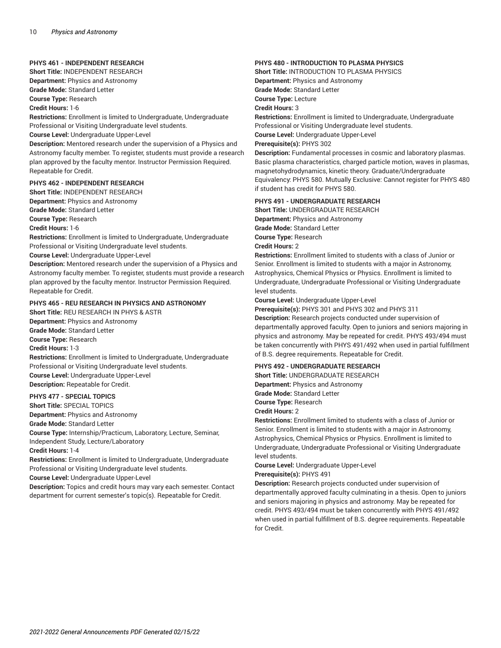#### **PHYS 461 - INDEPENDENT RESEARCH**

**Short Title:** INDEPENDENT RESEARCH **Department:** Physics and Astronomy **Grade Mode:** Standard Letter

**Course Type:** Research

**Credit Hours:** 1-6

**Restrictions:** Enrollment is limited to Undergraduate, Undergraduate Professional or Visiting Undergraduate level students.

**Course Level:** Undergraduate Upper-Level

**Description:** Mentored research under the supervision of a Physics and Astronomy faculty member. To register, students must provide a research plan approved by the faculty mentor. Instructor Permission Required. Repeatable for Credit.

#### **PHYS 462 - INDEPENDENT RESEARCH**

**Short Title:** INDEPENDENT RESEARCH **Department:** Physics and Astronomy **Grade Mode:** Standard Letter **Course Type:** Research

**Credit Hours:** 1-6

**Restrictions:** Enrollment is limited to Undergraduate, Undergraduate Professional or Visiting Undergraduate level students.

**Course Level:** Undergraduate Upper-Level

**Description:** Mentored research under the supervision of a Physics and Astronomy faculty member. To register, students must provide a research plan approved by the faculty mentor. Instructor Permission Required. Repeatable for Credit.

#### **PHYS 465 - REU RESEARCH IN PHYSICS AND ASTRONOMY**

**Short Title:** REU RESEARCH IN PHYS & ASTR **Department:** Physics and Astronomy **Grade Mode:** Standard Letter **Course Type:** Research **Credit Hours:** 1-3 **Restrictions:** Enrollment is limited to Undergraduate, Undergraduate Professional or Visiting Undergraduate level students. **Course Level:** Undergraduate Upper-Level **Description:** Repeatable for Credit.

### **PHYS 477 - SPECIAL TOPICS**

**Short Title:** SPECIAL TOPICS **Department:** Physics and Astronomy **Grade Mode:** Standard Letter **Course Type:** Internship/Practicum, Laboratory, Lecture, Seminar, Independent Study, Lecture/Laboratory **Credit Hours:** 1-4 **Restrictions:** Enrollment is limited to Undergraduate, Undergraduate

Professional or Visiting Undergraduate level students.

**Course Level:** Undergraduate Upper-Level

**Description:** Topics and credit hours may vary each semester. Contact department for current semester's topic(s). Repeatable for Credit.

#### **PHYS 480 - INTRODUCTION TO PLASMA PHYSICS**

**Short Title:** INTRODUCTION TO PLASMA PHYSICS **Department:** Physics and Astronomy **Grade Mode:** Standard Letter **Course Type:** Lecture **Credit Hours:** 3 **Restrictions:** Enrollment is limited to Undergraduate, Undergraduate Professional or Visiting Undergraduate level students.

**Course Level:** Undergraduate Upper-Level

**Prerequisite(s):** PHYS 302

**Description:** Fundamental processes in cosmic and laboratory plasmas. Basic plasma characteristics, charged particle motion, waves in plasmas, magnetohydrodynamics, kinetic theory. Graduate/Undergraduate Equivalency: PHYS 580. Mutually Exclusive: Cannot register for PHYS 480 if student has credit for PHYS 580.

#### **PHYS 491 - UNDERGRADUATE RESEARCH**

**Short Title:** UNDERGRADUATE RESEARCH **Department:** Physics and Astronomy **Grade Mode:** Standard Letter

**Course Type:** Research

#### **Credit Hours:** 2

**Restrictions:** Enrollment limited to students with a class of Junior or Senior. Enrollment is limited to students with a major in Astronomy, Astrophysics, Chemical Physics or Physics. Enrollment is limited to Undergraduate, Undergraduate Professional or Visiting Undergraduate level students.

**Course Level:** Undergraduate Upper-Level

**Prerequisite(s):** PHYS 301 and PHYS 302 and PHYS 311

**Description:** Research projects conducted under supervision of departmentally approved faculty. Open to juniors and seniors majoring in physics and astronomy. May be repeated for credit. PHYS 493/494 must be taken concurrently with PHYS 491/492 when used in partial fulfillment of B.S. degree requirements. Repeatable for Credit.

#### **PHYS 492 - UNDERGRADUATE RESEARCH**

**Short Title:** UNDERGRADUATE RESEARCH **Department:** Physics and Astronomy **Grade Mode:** Standard Letter **Course Type:** Research **Credit Hours:** 2

**Restrictions:** Enrollment limited to students with a class of Junior or Senior. Enrollment is limited to students with a major in Astronomy, Astrophysics, Chemical Physics or Physics. Enrollment is limited to Undergraduate, Undergraduate Professional or Visiting Undergraduate level students.

**Course Level:** Undergraduate Upper-Level

#### **Prerequisite(s):** PHYS 491

**Description:** Research projects conducted under supervision of departmentally approved faculty culminating in a thesis. Open to juniors and seniors majoring in physics and astronomy. May be repeated for credit. PHYS 493/494 must be taken concurrently with PHYS 491/492 when used in partial fulfillment of B.S. degree requirements. Repeatable for Credit.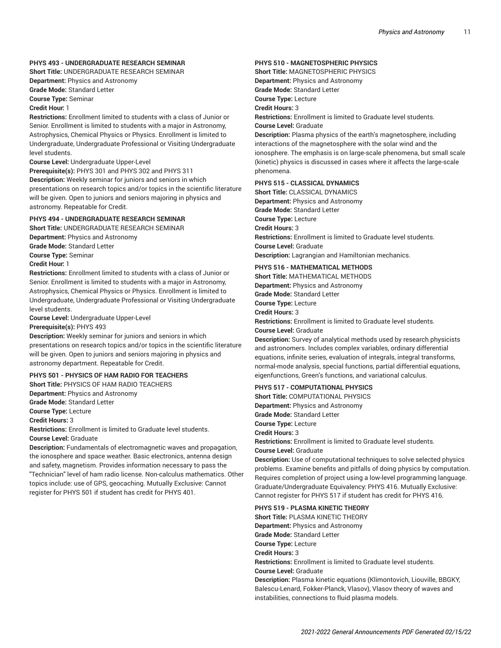#### **PHYS 493 - UNDERGRADUATE RESEARCH SEMINAR**

**Short Title:** UNDERGRADUATE RESEARCH SEMINAR **Department:** Physics and Astronomy **Grade Mode:** Standard Letter

**Course Type:** Seminar

**Credit Hour:** 1

**Restrictions:** Enrollment limited to students with a class of Junior or Senior. Enrollment is limited to students with a major in Astronomy, Astrophysics, Chemical Physics or Physics. Enrollment is limited to Undergraduate, Undergraduate Professional or Visiting Undergraduate level students.

**Course Level:** Undergraduate Upper-Level

**Prerequisite(s):** PHYS 301 and PHYS 302 and PHYS 311 **Description:** Weekly seminar for juniors and seniors in which presentations on research topics and/or topics in the scientific literature will be given. Open to juniors and seniors majoring in physics and astronomy. Repeatable for Credit.

#### **PHYS 494 - UNDERGRADUATE RESEARCH SEMINAR**

**Short Title:** UNDERGRADUATE RESEARCH SEMINAR **Department:** Physics and Astronomy

**Grade Mode:** Standard Letter

**Course Type:** Seminar

**Credit Hour:** 1

**Restrictions:** Enrollment limited to students with a class of Junior or Senior. Enrollment is limited to students with a major in Astronomy, Astrophysics, Chemical Physics or Physics. Enrollment is limited to Undergraduate, Undergraduate Professional or Visiting Undergraduate level students.

**Course Level:** Undergraduate Upper-Level

**Prerequisite(s):** PHYS 493

**Description:** Weekly seminar for juniors and seniors in which presentations on research topics and/or topics in the scientific literature will be given. Open to juniors and seniors majoring in physics and astronomy department. Repeatable for Credit.

### **PHYS 501 - PHYSICS OF HAM RADIO FOR TEACHERS**

**Short Title:** PHYSICS OF HAM RADIO TEACHERS

**Department:** Physics and Astronomy

**Grade Mode:** Standard Letter

**Course Type:** Lecture **Credit Hours:** 3

**Restrictions:** Enrollment is limited to Graduate level students. **Course Level:** Graduate

**Description:** Fundamentals of electromagnetic waves and propagation, the ionosphere and space weather. Basic electronics, antenna design and safety, magnetism. Provides information necessary to pass the "Technician" level of ham radio license. Non-calculus mathematics. Other topics include: use of GPS, geocaching. Mutually Exclusive: Cannot register for PHYS 501 if student has credit for PHYS 401.

#### **PHYS 510 - MAGNETOSPHERIC PHYSICS**

**Short Title:** MAGNETOSPHERIC PHYSICS **Department:** Physics and Astronomy **Grade Mode:** Standard Letter **Course Type:** Lecture **Credit Hours:** 3

**Restrictions:** Enrollment is limited to Graduate level students.

**Course Level:** Graduate

**Description:** Plasma physics of the earth's magnetosphere, including interactions of the magnetosphere with the solar wind and the ionosphere. The emphasis is on large-scale phenomena, but small scale (kinetic) physics is discussed in cases where it affects the large-scale phenomena.

#### **PHYS 515 - CLASSICAL DYNAMICS**

**Short Title:** CLASSICAL DYNAMICS **Department:** Physics and Astronomy **Grade Mode:** Standard Letter **Course Type:** Lecture **Credit Hours:** 3 **Restrictions:** Enrollment is limited to Graduate level students. **Course Level:** Graduate **Description:** Lagrangian and Hamiltonian mechanics.

#### **PHYS 516 - MATHEMATICAL METHODS**

**Short Title:** MATHEMATICAL METHODS **Department:** Physics and Astronomy **Grade Mode:** Standard Letter **Course Type:** Lecture **Credit Hours:** 3 **Restrictions:** Enrollment is limited to Graduate level students. **Course Level:** Graduate

**Description:** Survey of analytical methods used by research physicists and astronomers. Includes complex variables, ordinary differential equations, infinite series, evaluation of integrals, integral transforms, normal-mode analysis, special functions, partial differential equations, eigenfunctions, Green's functions, and variational calculus.

#### **PHYS 517 - COMPUTATIONAL PHYSICS**

**Short Title:** COMPUTATIONAL PHYSICS **Department:** Physics and Astronomy **Grade Mode:** Standard Letter **Course Type:** Lecture **Credit Hours:** 3 **Restrictions:** Enrollment is limited to Graduate level students. **Course Level:** Graduate

**Description:** Use of computational techniques to solve selected physics problems. Examine benefits and pitfalls of doing physics by computation. Requires completion of project using a low-level programming language. Graduate/Undergraduate Equivalency: PHYS 416. Mutually Exclusive: Cannot register for PHYS 517 if student has credit for PHYS 416.

#### **PHYS 519 - PLASMA KINETIC THEORY**

**Short Title:** PLASMA KINETIC THEORY **Department:** Physics and Astronomy **Grade Mode:** Standard Letter **Course Type:** Lecture **Credit Hours:** 3 **Restrictions:** Enrollment is limited to Graduate level students. **Course Level:** Graduate **Description:** Plasma kinetic equations (Klimontovich, Liouville, BBGKY, Balescu-Lenard, Fokker-Planck, Vlasov), Vlasov theory of waves and instabilities, connections to fluid plasma models.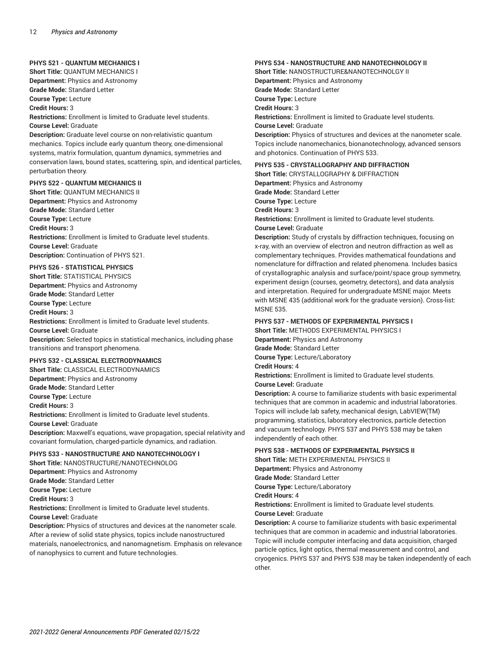#### **PHYS 521 - QUANTUM MECHANICS I**

**Short Title:** QUANTUM MECHANICS I **Department:** Physics and Astronomy **Grade Mode:** Standard Letter **Course Type:** Lecture

**Credit Hours:** 3

**Restrictions:** Enrollment is limited to Graduate level students. **Course Level:** Graduate

**Description:** Graduate level course on non-relativistic quantum mechanics. Topics include early quantum theory, one-dimensional systems, matrix formulation, quantum dynamics, symmetries and conservation laws, bound states, scattering, spin, and identical particles, perturbation theory.

#### **PHYS 522 - QUANTUM MECHANICS II**

**Short Title:** QUANTUM MECHANICS II **Department:** Physics and Astronomy **Grade Mode:** Standard Letter **Course Type:** Lecture **Credit Hours:** 3 **Restrictions:** Enrollment is limited to Graduate level students. **Course Level:** Graduate **Description:** Continuation of PHYS 521.

#### **PHYS 526 - STATISTICAL PHYSICS**

**Short Title:** STATISTICAL PHYSICS **Department:** Physics and Astronomy **Grade Mode:** Standard Letter **Course Type:** Lecture **Credit Hours:** 3 **Restrictions:** Enrollment is limited to Graduate level students. **Course Level:** Graduate **Description:** Selected topics in statistical mechanics, including phase transitions and transport phenomena.

#### **PHYS 532 - CLASSICAL ELECTRODYNAMICS**

**Short Title:** CLASSICAL ELECTRODYNAMICS **Department:** Physics and Astronomy **Grade Mode:** Standard Letter **Course Type:** Lecture **Credit Hours:** 3 **Restrictions:** Enrollment is limited to Graduate level students. **Course Level:** Graduate **Description:** Maxwell's equations, wave propagation, special relativity and covariant formulation, charged-particle dynamics, and radiation.

#### **PHYS 533 - NANOSTRUCTURE AND NANOTECHNOLOGY I**

**Short Title:** NANOSTRUCTURE/NANOTECHNOLOG **Department:** Physics and Astronomy **Grade Mode:** Standard Letter **Course Type:** Lecture **Credit Hours:** 3 **Restrictions:** Enrollment is limited to Graduate level students. **Course Level:** Graduate **Description:** Physics of structures and devices at the nanometer scale. After a review of solid state physics, topics include nanostructured

materials, nanoelectronics, and nanomagnetism. Emphasis on relevance of nanophysics to current and future technologies.

#### **PHYS 534 - NANOSTRUCTURE AND NANOTECHNOLOGY II**

**Short Title:** NANOSTRUCTURE&NANOTECHNOLGY II **Department:** Physics and Astronomy **Grade Mode:** Standard Letter **Course Type:** Lecture **Credit Hours:** 3 **Restrictions:** Enrollment is limited to Graduate level students. **Course Level:** Graduate **Description:** Physics of structures and devices at the nanometer scale. Topics include nanomechanics, bionanotechnology, advanced sensors and photonics. Continuation of PHYS 533.

#### **PHYS 535 - CRYSTALLOGRAPHY AND DIFFRACTION**

**Short Title:** CRYSTALLOGRAPHY & DIFFRACTION **Department:** Physics and Astronomy **Grade Mode:** Standard Letter **Course Type:** Lecture **Credit Hours:** 3 **Restrictions:** Enrollment is limited to Graduate level students. **Course Level:** Graduate **Description:** Study of crystals by diffraction techniques, focusing on x-ray, with an overview of electron and neutron diffraction as well as

complementary techniques. Provides mathematical foundations and nomenclature for diffraction and related phenomena. Includes basics of crystallographic analysis and surface/point/space group symmetry, experiment design (courses, geometry, detectors), and data analysis and interpretation. Required for undergraduate MSNE major. Meets with MSNE 435 (additional work for the graduate version). Cross-list: MSNE 535.

#### **PHYS 537 - METHODS OF EXPERIMENTAL PHYSICS I**

**Short Title:** METHODS EXPERIMENTAL PHYSICS I

**Department:** Physics and Astronomy

**Grade Mode:** Standard Letter

**Course Type:** Lecture/Laboratory

**Credit Hours:** 4

**Restrictions:** Enrollment is limited to Graduate level students. **Course Level:** Graduate

**Description:** A course to familiarize students with basic experimental techniques that are common in academic and industrial laboratories. Topics will include lab safety, mechanical design, LabVIEW(TM) programming, statistics, laboratory electronics, particle detection and vacuum technology. PHYS 537 and PHYS 538 may be taken independently of each other.

#### **PHYS 538 - METHODS OF EXPERIMENTAL PHYSICS II**

**Short Title:** METH EXPERIMENTAL PHYSICS II **Department:** Physics and Astronomy **Grade Mode:** Standard Letter **Course Type:** Lecture/Laboratory **Credit Hours:** 4 **Restrictions:** Enrollment is limited to Graduate level students. **Course Level:** Graduate

**Description:** A course to familiarize students with basic experimental techniques that are common in academic and industrial laboratories. Topic will include computer interfacing and data acquisition, charged particle optics, light optics, thermal measurement and control, and cryogenics. PHYS 537 and PHYS 538 may be taken independently of each other.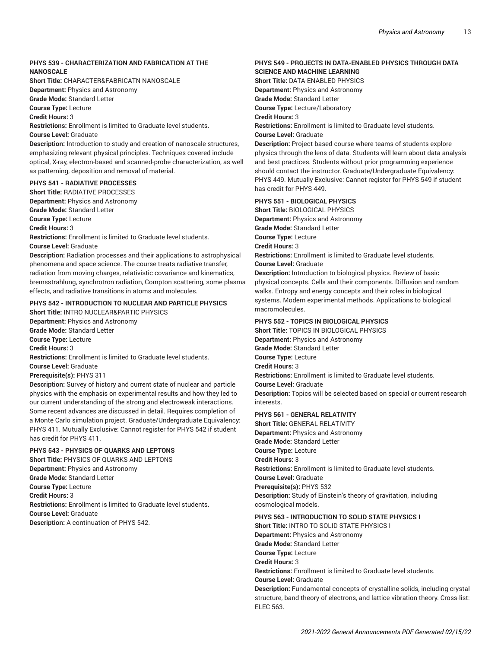#### **PHYS 539 - CHARACTERIZATION AND FABRICATION AT THE NANOSCALE**

**Short Title:** CHARACTER&FABRICATN NANOSCALE **Department:** Physics and Astronomy

**Grade Mode:** Standard Letter

**Course Type:** Lecture

**Credit Hours:** 3

**Restrictions:** Enrollment is limited to Graduate level students. **Course Level:** Graduate

**Description:** Introduction to study and creation of nanoscale structures, emphasizing relevant physical principles. Techniques covered include optical, X-ray, electron-based and scanned-probe characterization, as well as patterning, deposition and removal of material.

#### **PHYS 541 - RADIATIVE PROCESSES**

**Short Title:** RADIATIVE PROCESSES **Department:** Physics and Astronomy **Grade Mode:** Standard Letter **Course Type:** Lecture **Credit Hours:** 3 **Restrictions:** Enrollment is limited to Graduate level students. **Course Level:** Graduate **Description:** Radiation processes and their applications to astrophysical phenomena and space science. The course treats radiative transfer,

radiation from moving charges, relativistic covariance and kinematics, bremsstrahlung, synchrotron radiation, Compton scattering, some plasma effects, and radiative transitions in atoms and molecules.

#### **PHYS 542 - INTRODUCTION TO NUCLEAR AND PARTICLE PHYSICS**

**Short Title:** INTRO NUCLEAR&PARTIC PHYSICS **Department:** Physics and Astronomy **Grade Mode:** Standard Letter **Course Type:** Lecture **Credit Hours:** 3 **Restrictions:** Enrollment is limited to Graduate level students. **Course Level:** Graduate **Prerequisite(s):** PHYS 311 **Description:** Survey of history and current state of nuclear and particle physics with the emphasis on experimental results and how they led to our current understanding of the strong and electroweak interactions. Some recent advances are discussed in detail. Requires completion of

a Monte Carlo simulation project. Graduate/Undergraduate Equivalency: PHYS 411. Mutually Exclusive: Cannot register for PHYS 542 if student has credit for PHYS 411.

#### **PHYS 543 - PHYSICS OF QUARKS AND LEPTONS**

**Short Title:** PHYSICS OF QUARKS AND LEPTONS **Department:** Physics and Astronomy **Grade Mode:** Standard Letter **Course Type:** Lecture **Credit Hours:** 3 **Restrictions:** Enrollment is limited to Graduate level students. **Course Level:** Graduate **Description:** A continuation of PHYS 542.

#### **PHYS 549 - PROJECTS IN DATA-ENABLED PHYSICS THROUGH DATA SCIENCE AND MACHINE LEARNING**

**Short Title:** DATA-ENABLED PHYSICS **Department:** Physics and Astronomy

**Grade Mode:** Standard Letter

**Course Type:** Lecture/Laboratory

### **Credit Hours:** 3

**Restrictions:** Enrollment is limited to Graduate level students. **Course Level:** Graduate

**Description:** Project-based course where teams of students explore physics through the lens of data. Students will learn about data analysis and best practices. Students without prior programming experience should contact the instructor. Graduate/Undergraduate Equivalency: PHYS 449. Mutually Exclusive: Cannot register for PHYS 549 if student has credit for PHYS 449.

#### **PHYS 551 - BIOLOGICAL PHYSICS**

**Short Title:** BIOLOGICAL PHYSICS **Department:** Physics and Astronomy **Grade Mode:** Standard Letter **Course Type:** Lecture **Credit Hours:** 3 **Restrictions:** Enrollment is limited to Graduate level students. **Course Level:** Graduate **Description:** Introduction to biological physics. Review of basic

physical concepts. Cells and their components. Diffusion and random walks. Entropy and energy concepts and their roles in biological systems. Modern experimental methods. Applications to biological macromolecules.

#### **PHYS 552 - TOPICS IN BIOLOGICAL PHYSICS**

**Short Title:** TOPICS IN BIOLOGICAL PHYSICS **Department:** Physics and Astronomy **Grade Mode:** Standard Letter **Course Type:** Lecture **Credit Hours:** 3 **Restrictions:** Enrollment is limited to Graduate level students. **Course Level:** Graduate **Description:** Topics will be selected based on special or current research interests. **PHYS 561 - GENERAL RELATIVITY Short Title:** GENERAL RELATIVITY **Department:** Physics and Astronomy **Grade Mode:** Standard Letter **Course Type:** Lecture **Credit Hours:** 3

**Restrictions:** Enrollment is limited to Graduate level students.

**Course Level:** Graduate **Prerequisite(s):** PHYS 532

**Description:** Study of Einstein's theory of gravitation, including cosmological models.

**PHYS 563 - INTRODUCTION TO SOLID STATE PHYSICS I**

**Short Title:** INTRO TO SOLID STATE PHYSICS I

**Department:** Physics and Astronomy **Grade Mode:** Standard Letter

**Course Type:** Lecture

**Credit Hours:** 3 **Restrictions:** Enrollment is limited to Graduate level students.

**Course Level:** Graduate

**Description:** Fundamental concepts of crystalline solids, including crystal structure, band theory of electrons, and lattice vibration theory. Cross-list: ELEC 563.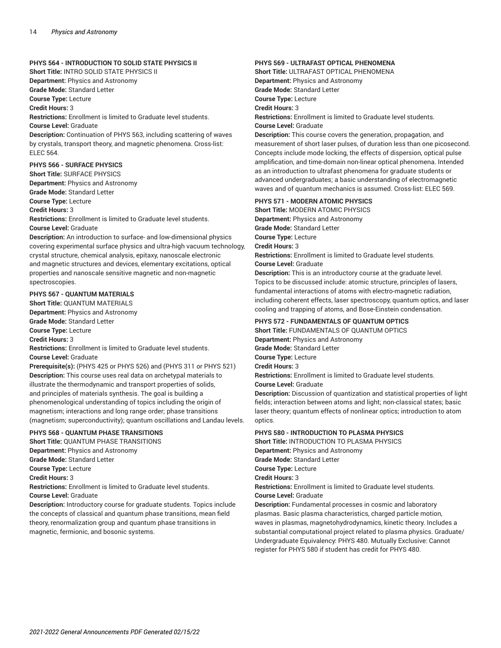#### **PHYS 564 - INTRODUCTION TO SOLID STATE PHYSICS II**

**Short Title:** INTRO SOLID STATE PHYSICS II

**Department:** Physics and Astronomy

**Grade Mode:** Standard Letter

**Course Type:** Lecture

**Credit Hours:** 3

**Restrictions:** Enrollment is limited to Graduate level students.

**Course Level:** Graduate

**Description:** Continuation of PHYS 563, including scattering of waves by crystals, transport theory, and magnetic phenomena. Cross-list: ELEC 564.

#### **PHYS 566 - SURFACE PHYSICS**

**Short Title:** SURFACE PHYSICS

**Department:** Physics and Astronomy

**Grade Mode:** Standard Letter

**Course Type:** Lecture

**Credit Hours:** 3

**Restrictions:** Enrollment is limited to Graduate level students. **Course Level:** Graduate

**Description:** An introduction to surface- and low-dimensional physics covering experimental surface physics and ultra-high vacuum technology, crystal structure, chemical analysis, epitaxy, nanoscale electronic and magnetic structures and devices, elementary excitations, optical properties and nanoscale sensitive magnetic and non-magnetic spectroscopies.

#### **PHYS 567 - QUANTUM MATERIALS**

**Short Title:** QUANTUM MATERIALS **Department:** Physics and Astronomy **Grade Mode:** Standard Letter **Course Type:** Lecture **Credit Hours:** 3

**Restrictions:** Enrollment is limited to Graduate level students. **Course Level:** Graduate

**Prerequisite(s):** (PHYS 425 or PHYS 526) and (PHYS 311 or PHYS 521) **Description:** This course uses real data on archetypal materials to illustrate the thermodynamic and transport properties of solids, and principles of materials synthesis. The goal is building a phenomenological understanding of topics including the origin of magnetism; interactions and long range order; phase transitions (magnetism; superconductivity); quantum oscillations and Landau levels.

#### **PHYS 568 - QUANTUM PHASE TRANSITIONS**

magnetic, fermionic, and bosonic systems.

**Short Title:** QUANTUM PHASE TRANSITIONS **Department:** Physics and Astronomy **Grade Mode:** Standard Letter **Course Type:** Lecture **Credit Hours:** 3 **Restrictions:** Enrollment is limited to Graduate level students. **Course Level:** Graduate **Description:** Introductory course for graduate students. Topics include the concepts of classical and quantum phase transitions, mean field

theory, renormalization group and quantum phase transitions in

### **PHYS 569 - ULTRAFAST OPTICAL PHENOMENA**

**Short Title:** ULTRAFAST OPTICAL PHENOMENA **Department:** Physics and Astronomy **Grade Mode:** Standard Letter **Course Type:** Lecture **Credit Hours:** 3 **Restrictions:** Enrollment is limited to Graduate level students. **Course Level:** Graduate

**Description:** This course covers the generation, propagation, and measurement of short laser pulses, of duration less than one picosecond. Concepts include mode locking, the effects of dispersion, optical pulse amplification, and time-domain non-linear optical phenomena. Intended as an introduction to ultrafast phenomena for graduate students or advanced undergraduates; a basic understanding of electromagnetic waves and of quantum mechanics is assumed. Cross-list: ELEC 569.

#### **PHYS 571 - MODERN ATOMIC PHYSICS**

**Short Title:** MODERN ATOMIC PHYSICS **Department:** Physics and Astronomy **Grade Mode:** Standard Letter **Course Type:** Lecture **Credit Hours:** 3 **Restrictions:** Enrollment is limited to Graduate level students. **Course Level:** Graduate

**Description:** This is an introductory course at the graduate level. Topics to be discussed include: atomic structure, principles of lasers, fundamental interactions of atoms with electro-magnetic radiation, including coherent effects, laser spectroscopy, quantum optics, and laser cooling and trapping of atoms, and Bose-Einstein condensation.

#### **PHYS 572 - FUNDAMENTALS OF QUANTUM OPTICS**

**Short Title:** FUNDAMENTALS OF QUANTUM OPTICS **Department:** Physics and Astronomy

**Grade Mode:** Standard Letter

**Course Type:** Lecture

**Credit Hours:** 3

**Restrictions:** Enrollment is limited to Graduate level students. **Course Level:** Graduate

**Description:** Discussion of quantization and statistical properties of light fields; interaction between atoms and light; non-classical states; basic laser theory; quantum effects of nonlinear optics; introduction to atom optics.

#### **PHYS 580 - INTRODUCTION TO PLASMA PHYSICS**

**Short Title:** INTRODUCTION TO PLASMA PHYSICS **Department:** Physics and Astronomy **Grade Mode:** Standard Letter **Course Type:** Lecture **Credit Hours:** 3 **Restrictions:** Enrollment is limited to Graduate level students. **Course Level:** Graduate

**Description:** Fundamental processes in cosmic and laboratory plasmas. Basic plasma characteristics, charged particle motion, waves in plasmas, magnetohydrodynamics, kinetic theory. Includes a substantial computational project related to plasma physics. Graduate/ Undergraduate Equivalency: PHYS 480. Mutually Exclusive: Cannot register for PHYS 580 if student has credit for PHYS 480.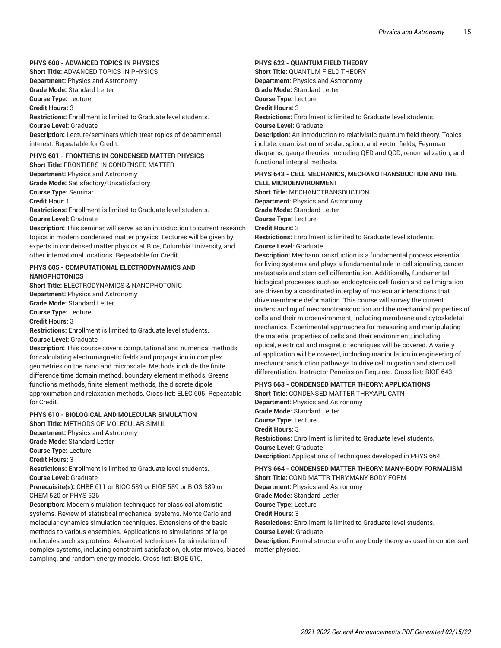#### **PHYS 600 - ADVANCED TOPICS IN PHYSICS**

**Short Title:** ADVANCED TOPICS IN PHYSICS **Department:** Physics and Astronomy **Grade Mode:** Standard Letter **Course Type:** Lecture **Credit Hours:** 3 **Restrictions:** Enrollment is limited to Graduate level students. **Course Level:** Graduate **Description:** Lecture/seminars which treat topics of departmental interest. Repeatable for Credit. **PHYS 601 - FRONTIERS IN CONDENSED MATTER PHYSICS**

**Short Title:** FRONTIERS IN CONDENSED MATTER **Department:** Physics and Astronomy

**Grade Mode:** Satisfactory/Unsatisfactory **Course Type:** Seminar

**Credit Hour:** 1

**Restrictions:** Enrollment is limited to Graduate level students. **Course Level:** Graduate

**Description:** This seminar will serve as an introduction to current research topics in modern condensed matter physics. Lectures will be given by experts in condensed matter physics at Rice, Columbia University, and other international locations. Repeatable for Credit.

#### **PHYS 605 - COMPUTATIONAL ELECTRODYNAMICS AND NANOPHOTONICS**

**Short Title:** ELECTRODYNAMICS & NANOPHOTONIC **Department:** Physics and Astronomy **Grade Mode:** Standard Letter

**Course Type:** Lecture

**Credit Hours:** 3

**Restrictions:** Enrollment is limited to Graduate level students. **Course Level:** Graduate

**Description:** This course covers computational and numerical methods for calculating electromagnetic fields and propagation in complex geometries on the nano and microscale. Methods include the finite difference time domain method, boundary element methods, Greens functions methods, finite element methods, the discrete dipole approximation and relaxation methods. Cross-list: ELEC 605. Repeatable for Credit.

#### **PHYS 610 - BIOLOGICAL AND MOLECULAR SIMULATION**

**Short Title:** METHODS OF MOLECULAR SIMUL

**Department:** Physics and Astronomy

**Grade Mode:** Standard Letter

**Course Type:** Lecture

**Credit Hours:** 3

**Restrictions:** Enrollment is limited to Graduate level students. **Course Level:** Graduate

**Prerequisite(s):** CHBE 611 or BIOC 589 or BIOE 589 or BIOS 589 or CHEM 520 or PHYS 526

**Description:** Modern simulation techniques for classical atomistic systems. Review of statistical mechanical systems. Monte Carlo and molecular dynamics simulation techniques. Extensions of the basic methods to various ensembles. Applications to simulations of large molecules such as proteins. Advanced techniques for simulation of complex systems, including constraint satisfaction, cluster moves, biased sampling, and random energy models. Cross-list: BIOE 610.

#### **PHYS 622 - QUANTUM FIELD THEORY**

**Short Title:** QUANTUM FIELD THEORY **Department:** Physics and Astronomy **Grade Mode:** Standard Letter **Course Type:** Lecture **Credit Hours:** 3 **Restrictions:** Enrollment is limited to Graduate level students. **Course Level:** Graduate **Description:** An introduction to relativistic quantum field theory. Topics include: quantization of scalar, spinor, and vector fields; Feynman diagrams; gauge theories, including QED and QCD; renormalization; and functional-integral methods.

#### **PHYS 643 - CELL MECHANICS, MECHANOTRANSDUCTION AND THE CELL MICROENVIRONMENT**

**Short Title:** MECHANOTRANSDUCTION **Department:** Physics and Astronomy **Grade Mode:** Standard Letter **Course Type:** Lecture **Credit Hours:** 3 **Restrictions:** Enrollment is limited to Graduate level students. **Course Level:** Graduate

**Description:** Mechanotransduction is a fundamental process essential for living systems and plays a fundamental role in cell signaling, cancer metastasis and stem cell differentiation. Additionally, fundamental biological processes such as endocytosis cell fusion and cell migration are driven by a coordinated interplay of molecular interactions that drive membrane deformation. This course will survey the current understanding of mechanotransduction and the mechanical properties of cells and their microenvironment, including membrane and cytoskeletal mechanics. Experimental approaches for measuring and manipulating the material properties of cells and their environment; including optical, electrical and magnetic techniques will be covered. A variety of application will be covered, including manipulation in engineering of mechanotransduction pathways to drive cell migration and stem cell differentiation. Instructor Permission Required. Cross-list: BIOE 643.

#### **PHYS 663 - CONDENSED MATTER THEORY: APPLICATIONS**

**Short Title:** CONDENSED MATTER THRY:APLICATN **Department:** Physics and Astronomy **Grade Mode:** Standard Letter **Course Type:** Lecture **Credit Hours:** 3 **Restrictions:** Enrollment is limited to Graduate level students. **Course Level:** Graduate **Description:** Applications of techniques developed in PHYS 664.

**PHYS 664 - CONDENSED MATTER THEORY: MANY-BODY FORMALISM Short Title:** COND MATTR THRY:MANY BODY FORM **Department:** Physics and Astronomy **Grade Mode:** Standard Letter **Course Type:** Lecture **Credit Hours:** 3 **Restrictions:** Enrollment is limited to Graduate level students. **Course Level:** Graduate **Description:** Formal structure of many-body theory as used in condensed matter physics.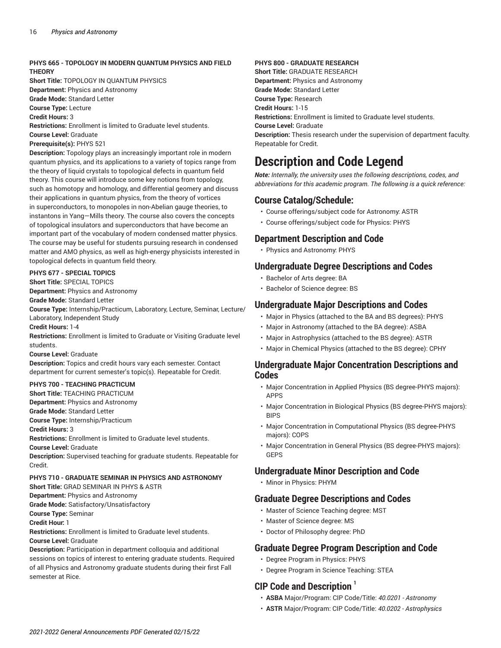#### **PHYS 665 - TOPOLOGY IN MODERN QUANTUM PHYSICS AND FIELD THEORY**

**Short Title:** TOPOLOGY IN QUANTUM PHYSICS **Department:** Physics and Astronomy **Grade Mode:** Standard Letter

**Course Type:** Lecture

**Credit Hours:** 3

**Restrictions:** Enrollment is limited to Graduate level students. **Course Level:** Graduate

**Prerequisite(s):** PHYS 521

**Description:** Topology plays an increasingly important role in modern quantum physics, and its applications to a variety of topics range from the theory of liquid crystals to topological defects in quantum field theory. This course will introduce some key notions from topology, such as homotopy and homology, and differential geomery and discuss their applications in quantum physics, from the theory of vortices in superconductors, to monopoles in non-Abelian gauge theories, to instantons in Yang—Mills theory. The course also covers the concepts of topological insulators and superconductors that have become an important part of the vocabulary of modern condensed matter physics. The course may be useful for students pursuing research in condensed matter and AMO physics, as well as high-energy physicists interested in topological defects in quantum field theory.

#### **PHYS 677 - SPECIAL TOPICS**

**Short Title:** SPECIAL TOPICS

**Department:** Physics and Astronomy

**Grade Mode:** Standard Letter

**Course Type:** Internship/Practicum, Laboratory, Lecture, Seminar, Lecture/ Laboratory, Independent Study

**Credit Hours:** 1-4

**Restrictions:** Enrollment is limited to Graduate or Visiting Graduate level students.

**Course Level:** Graduate

**Description:** Topics and credit hours vary each semester. Contact department for current semester's topic(s). Repeatable for Credit.

#### **PHYS 700 - TEACHING PRACTICUM**

**Short Title:** TEACHING PRACTICUM **Department:** Physics and Astronomy **Grade Mode:** Standard Letter

**Course Type:** Internship/Practicum

**Credit Hours:** 3

**Restrictions:** Enrollment is limited to Graduate level students.

**Course Level:** Graduate

**Description:** Supervised teaching for graduate students. Repeatable for Credit.

#### **PHYS 710 - GRADUATE SEMINAR IN PHYSICS AND ASTRONOMY**

**Short Title:** GRAD SEMINAR IN PHYS & ASTR

**Department:** Physics and Astronomy

**Grade Mode:** Satisfactory/Unsatisfactory

**Course Type:** Seminar

**Credit Hour:** 1

**Restrictions:** Enrollment is limited to Graduate level students. **Course Level:** Graduate

**Description:** Participation in department colloquia and additional sessions on topics of interest to entering graduate students. Required of all Physics and Astronomy graduate students during their first Fall semester at Rice.

#### **PHYS 800 - GRADUATE RESEARCH**

**Short Title:** GRADUATE RESEARCH **Department:** Physics and Astronomy **Grade Mode:** Standard Letter **Course Type:** Research **Credit Hours:** 1-15 **Restrictions:** Enrollment is limited to Graduate level students. **Course Level:** Graduate **Description:** Thesis research under the supervision of department faculty. Repeatable for Credit.

## **Description and Code Legend**

*Note: Internally, the university uses the following descriptions, codes, and abbreviations for this academic program. The following is a quick reference:*

### **Course Catalog/Schedule:**

- Course offerings/subject code for Astronomy: ASTR
- Course offerings/subject code for Physics: PHYS

### **Department Description and Code**

• Physics and Astronomy: PHYS

### **Undergraduate Degree Descriptions and Codes**

- Bachelor of Arts degree: BA
- Bachelor of Science degree: BS

### **Undergraduate Major Descriptions and Codes**

- Major in Physics (attached to the BA and BS degrees): PHYS
- Major in Astronomy (attached to the BA degree): ASBA
- Major in Astrophysics (attached to the BS degree): ASTR
- Major in Chemical Physics (attached to the BS degree): CPHY

### **Undergraduate Major Concentration Descriptions and Codes**

- Major Concentration in Applied Physics (BS degree-PHYS majors): APPS
- Major Concentration in Biological Physics (BS degree-PHYS majors): BIPS
- Major Concentration in Computational Physics (BS degree-PHYS majors): COPS
- Major Concentration in General Physics (BS degree-PHYS majors): GEPS

### **Undergraduate Minor Description and Code**

• Minor in Physics: PHYM

### **Graduate Degree Descriptions and Codes**

- Master of Science Teaching degree: MST
- Master of Science degree: MS
- Doctor of Philosophy degree: PhD

## **Graduate Degree Program Description and Code**

- Degree Program in Physics: PHYS
- Degree Program in Science Teaching: STEA

## **CIP Code and Description <sup>1</sup>**

- **ASBA** Major/Program: CIP Code/Title: *40.0201 - Astronomy*
- **ASTR** Major/Program: CIP Code/Title: *40.0202 - Astrophysics*